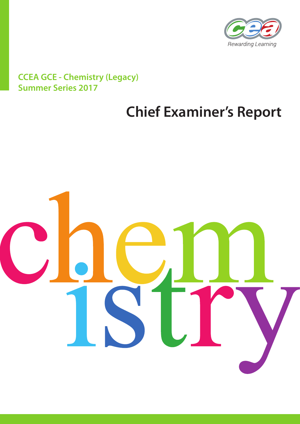

# **CCEA GCE - Chemistry (Legacy) Summer Series 2017**

# **Chief Examiner's Report**

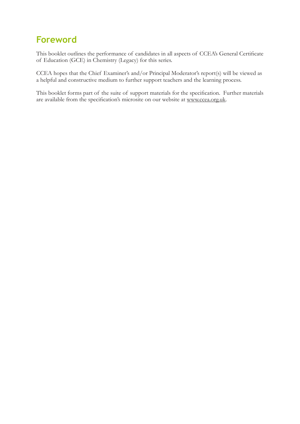# **Foreword**

This booklet outlines the performance of candidates in all aspects of CCEA's General Certificate of Education (GCE) in Chemistry (Legacy) for this series.

CCEA hopes that the Chief Examiner's and/or Principal Moderator's report(s) will be viewed as a helpful and constructive medium to further support teachers and the learning process.

This booklet forms part of the suite of support materials for the specification. Further materials are available from the specification's microsite on our website at www.ccea.org.uk.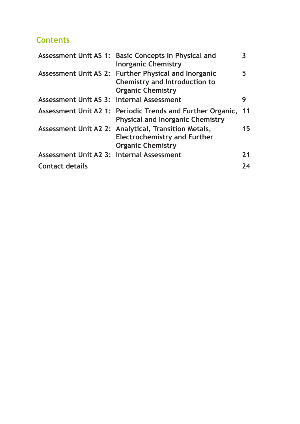## **Contents**

|                                           | Assessment Unit AS 1: Basic Concepts In Physical and<br><b>Inorganic Chemistry</b>                                       | 3  |
|-------------------------------------------|--------------------------------------------------------------------------------------------------------------------------|----|
|                                           | Assessment Unit AS 2: Further Physical and Inorganic<br><b>Chemistry and Introduction to</b><br><b>Organic Chemistry</b> | 5. |
| Assessment Unit AS 3: Internal Assessment |                                                                                                                          | 9  |
|                                           | Assessment Unit A2 1: Periodic Trends and Further Organic,<br><b>Physical and Inorganic Chemistry</b>                    | 11 |
|                                           | Assessment Unit A2 2: Analytical, Transition Metals,<br><b>Electrochemistry and Further</b><br><b>Organic Chemistry</b>  | 15 |
| Assessment Unit A2 3: Internal Assessment |                                                                                                                          | 21 |
| <b>Contact details</b>                    |                                                                                                                          | 24 |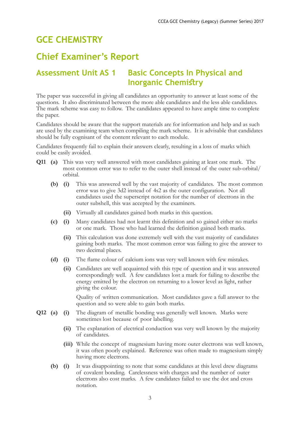# **GCE CHEMISTRY**

# **Chief Examiner's Report**

### **Assessment Unit AS 1 Basic Concepts In Physical and Inorganic Chemistry**

The paper was successful in giving all candidates an opportunity to answer at least some of the questions. It also discriminated between the more able candidates and the less able candidates. The mark scheme was easy to follow. The candidates appeared to have ample time to complete the paper.

Candidates should be aware that the support materials are for information and help and as such are used by the examining team when compiling the mark scheme. It is advisable that candidates should be fully cognisant of the content relevant to each module.

Candidates frequently fail to explain their answers clearly, resulting in a loss of marks which could be easily avoided.

- **Q11 (a)** This was very well answered with most candidates gaining at least one mark. The most common error was to refer to the outer shell instead of the outer sub-orbital/ orbital.
	- **(b) (i)** This was answered well by the vast majority of candidates. The most common error was to give 3d2 instead of 4s2 as the outer configuration. Not all candidates used the superscript notation for the number of electrons in the outer subshell, this was accepted by the examiners.
		- **(ii)** Virtually all candidates gained both marks in this question.
	- **(c) (i)** Many candidates had not learnt this definition and so gained either no marks or one mark. Those who had learned the definition gained both marks.
		- **(ii)** This calculation was done extremely well with the vast majority of candidates gaining both marks. The most common error was failing to give the answer to two decimal places.
	- **(d) (i)** The flame colour of calcium ions was very well known with few mistakes.
		- **(ii)** Candidates are well acquainted with this type of question and it was answered correspondingly well. A few candidates lost a mark for failing to describe the energy emitted by the electron on returning to a lower level as light, rather giving the colour.

 Quality of written communication. Most candidates gave a full answer to the question and so were able to gain both marks.

- **Q12 (a) (i)** The diagram of metallic bonding was generally well known. Marks were sometimes lost because of poor labelling.
	- **(ii)** The explanation of electrical conduction was very well known by the majority of candidates.
	- **(iii)** While the concept of magnesium having more outer electrons was well known, it was often poorly explained. Reference was often made to magnesium simply having more electrons.
	- **(b) (i)** It was disappointing to note that some candidates at this level drew diagrams of covalent bonding. Carelessness with charges and the number of outer electrons also cost marks. A few candidates failed to use the dot and cross notation.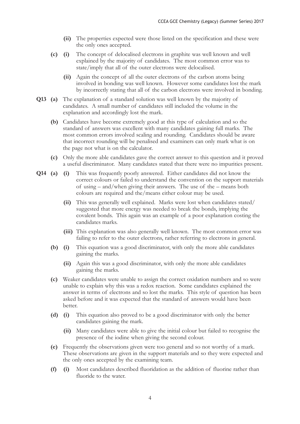- **(ii)** The properties expected were those listed on the specification and these were the only ones accepted.
- **(c) (i)** The concept of delocalised electrons in graphite was well known and well explained by the majority of candidates. The most common error was to state/imply that all of the outer electrons were delocalised.
	- **(ii)** Again the concept of all the outer electrons of the carbon atoms being involved in bonding was well known. However some candidates lost the mark by incorrectly stating that all of the carbon electrons were involved in bonding.
- **Q13 (a)** The explanation of a standard solution was well known by the majority of candidates. A small number of candidates still included the volume in the explanation and accordingly lost the mark.
	- **(b)** Candidates have become extremely good at this type of calculation and so the standard of answers was excellent with many candidates gaining full marks. The most common errors involved scaling and rounding. Candidates should be aware that incorrect rounding will be penalised and examiners can only mark what is on the page not what is on the calculator.
	- **(c)** Only the more able candidates gave the correct answer to this question and it proved a useful discriminator. Many candidates stated that there were no impurities present.
- **Q14 (a) (i)** This was frequently poorly answered. Either candidates did not know the correct colours or failed to understand the convention on the support materials of using – and/when giving their answers. The use of the – means both colours are required and the/means either colour may be used.
	- **(ii)** This was generally well explained. Marks were lost when candidates stated/ suggested that more energy was needed to break the bonds, implying the covalent bonds. This again was an example of a poor explanation costing the candidates marks.
	- **(iii)** This explanation was also generally well known. The most common error was failing to refer to the outer electrons, rather referring to electrons in general.
	- **(b) (i)** This equation was a good discriminator, with only the more able candidates gaining the marks.
		- **(ii)** Again this was a good discriminator, with only the more able candidates gaining the marks.
	- **(c)** Weaker candidates were unable to assign the correct oxidation numbers and so were unable to explain why this was a redox reaction. Some candidates explained the answer in terms of electrons and so lost the marks. This style of question has been asked before and it was expected that the standard of answers would have been better.
	- **(d) (i)** This equation also proved to be a good discriminator with only the better candidates gaining the mark.
		- **(ii)** Many candidates were able to give the initial colour but failed to recognise the presence of the iodine when giving the second colour.
	- **(e)** Frequently the observations given were too general and so not worthy of a mark. These observations are given in the support materials and so they were expected and the only ones accepted by the examining team.
	- **(f) (i)** Most candidates described fluoridation as the addition of fluorine rather than fluoride to the water.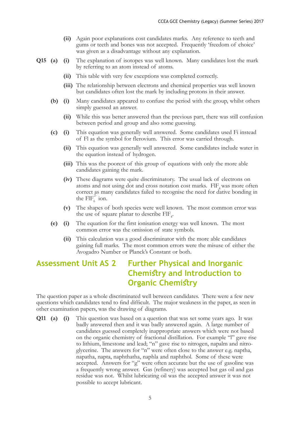- **(ii)** Again poor explanations cost candidates marks. Any reference to teeth and gums or teeth and bones was not accepted. Frequently 'freedom of choice' was given as a disadvantage without any explanation.
- **Q15 (a) (i)** The explanation of isotopes was well known. Many candidates lost the mark by referring to an atom instead of atoms.
	- **(ii)** This table with very few exceptions was completed correctly.
	- **(iii)** The relationship between electrons and chemical properties was well known but candidates often lost the mark by including protons in their answer.
	- **(b) (i)** Many candidates appeared to confuse the period with the group, whilst others simply guessed an answer.
		- **(ii)** While this was better answered than the previous part, there was still confusion between period and group and also some guessing.
	- **(c) (i)** This equation was generally well answered. Some candidates used Fi instead of Fl as the symbol for flerovium. This error was carried through.
		- **(ii)** This equation was generally well answered. Some candidates include water in the equation instead of hydrogen.
		- **(iii)** This was the poorest of this group of equations with only the more able candidates gaining the mark.
		- **(iv)** These diagrams were quite discriminatory. The usual lack of electrons on atoms and not using dot and cross notation cost marks.  $FIF_{4}$  was more often correct as many candidates failed to recognise the need for dative bonding in the  $\text{FIF}_{6}^{2}$  ion.
		- **(v)** The shapes of both species were well known. The most common error was the use of square planar to describe  $\text{FIF}_{4}$ .
	- **(e) (i)** The equation for the first ionisation energy was well known. The most common error was the omission of state symbols.
		- **(ii)** This calculation was a good discriminator with the more able candidates gaining full marks. The most common errors were the misuse of either the Avogadro Number or Planck's Constant or both.

### **Assessment Unit AS 2 Further Physical and Inorganic Chemistry and Introduction to Organic Chemistry**

The question paper as a whole discriminated well between candidates. There were a few new questions which candidates tend to find difficult. The major weakness in the paper, as seen in other examination papers, was the drawing of diagrams.

**Q11 (a) (i)** This question was based on a question that was set some years ago. It was badly answered then and it was badly answered again. A large number of candidates guessed completely inappropriate answers which were not based on the organic chemistry of fractional distillation. For example "l" gave rise to lithium, limestone and lead; "n" gave rise to nitrogen, napalm and nitroglycerine. The answers for "n" were often close to the answer e.g. naptha, napatha, napta, naphthatha, naphla and naphthol. Some of these were accepted. Answers for "g" were often accurate but the use of gasoline was a frequently wrong answer. Gas (refinery) was accepted but gas oil and gas residue was not. Whilst lubricating oil was the accepted answer it was not possible to accept lubricant.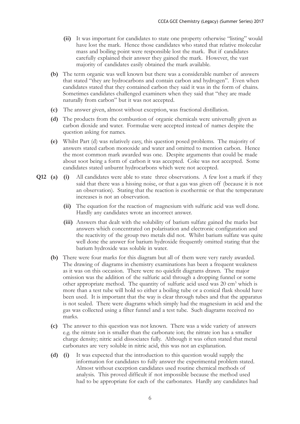- **(ii)** It was important for candidates to state one property otherwise "listing" would have lost the mark. Hence those candidates who stated that relative molecular mass and boiling point were responsible lost the mark. But if candidates carefully explained their answer they gained the mark. However, the vast majority of candidates easily obtained the mark available.
- **(b)** The term organic was well known but there was a considerable number of answers that stated "they are hydrocarbons and contain carbon and hydrogen". Even when candidates stated that they contained carbon they said it was in the form of chains. Sometimes candidates challenged examiners when they said that "they are made naturally from carbon" but it was not accepted.
- **(c)** The answer given, almost without exception, was fractional distillation.
- **(d)** The products from the combustion of organic chemicals were universally given as carbon dioxide and water. Formulae were accepted instead of names despite the question asking for names.
- **(e)** Whilst Part (d) was relatively easy, this question posed problems. The majority of answers stated carbon monoxide and water and omitted to mention carbon. Hence the most common mark awarded was one. Despite arguments that could be made about soot being a form of carbon it was accepted. Coke was not accepted. Some candidates stated unburnt hydrocarbons which were not accepted.
- **Q12 (a) (i)** All candidates were able to state three observations. A few lost a mark if they said that there was a hissing noise, or that a gas was given off (because it is not an observation). Stating that the reaction is exothermic or that the temperature increases is not an observation.
	- **(ii)** The equation for the reaction of magnesium with sulfuric acid was well done. Hardly any candidates wrote an incorrect answer.
	- **(iii)** Answers that dealt with the solubility of barium sulfate gained the marks but answers which concentrated on polarisation and electronic configuration and the reactivity of the group two metals did not. Whilst barium sulfate was quite well done the answer for barium hydroxide frequently omitted stating that the barium hydroxide was soluble in water.
	- **(b)** There were four marks for this diagram but all of them were very rarely awarded. The drawing of diagrams in chemistry examinations has been a frequent weakness as it was on this occasion. There were no quickfit diagrams drawn. The major omission was the addition of the sulfuric acid through a dropping funnel or some other appropriate method. The quantity of sulfuric acid used was 20 cm<sup>3</sup> which is more than a test tube will hold so either a boiling tube or a conical flask should have been used. It is important that the way is clear through tubes and that the apparatus is not sealed. There were diagrams which simply had the magnesium in acid and the gas was collected using a filter funnel and a test tube. Such diagrams received no marks.
	- **(c)** The answer to this question was not known. There was a wide variety of answers e.g. the nitrate ion is smaller than the carbonate ion; the nitrate ion has a smaller charge density; nitric acid dissociates fully. Although it was often stated that metal carbonates are very soluble in nitric acid, this was not an explanation.
	- **(d) (i)** It was expected that the introduction to this question would supply the information for candidates to fully answer the experimental problem stated. Almost without exception candidates used routine chemical methods of analysis. This proved difficult if not impossible because the method used had to be appropriate for each of the carbonates. Hardly any candidates had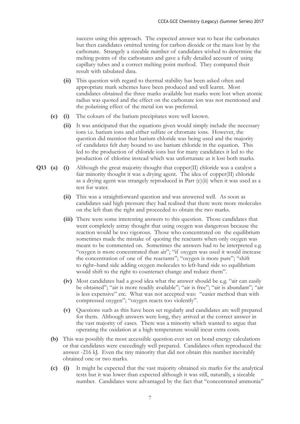success using this approach. The expected answer was to heat the carbonates but then candidates omitted testing for carbon dioxide or the mass lost by the carbonate. Strangely a sizeable number of candidates wished to determine the melting points of the carbonates and gave a fully detailed account of using capillary tubes and a correct melting point method. They compared their result with tabulated data.

- **(ii)** This question with regard to thermal stability has been asked often and appropriate mark schemes have been produced and well learnt. Most candidates obtained the three marks available but marks were lost when atomic radius was quoted and the effect on the carbonate ion was not mentioned and the polarising effect of the metal ion was preferred.
- **(e) (i)** The colours of the barium precipitates were well known.
	- **(ii)** It was anticipated that the equations given would simply include the necessary ions i.e. barium ions and either sulfate or chromate ions. However, the question did mention that barium chloride was being used and the majority of candidates felt duty bound to use barium chloride in the equation. This led to the production of chloride ions but for many candidates it led to the production of chlorine instead which was unfortunate as it lost both marks.
- **Q13 (a) (i)** Although the great majority thought that copper(II) chloride was a catalyst a fair minority thought it was a drying agent. The idea of copper(II) chloride as a drying agent was strangely reproduced in Part (c)(ii) when it was used as a test for water.
	- **(ii)** This was a straightforward question and was answered well. As soon as candidates said high pressure they had realised that there were more molecules on the left than the right and proceeded to obtain the two marks.
	- **(iii)** There were some interesting answers to this question. Those candidates that went completely astray thought that using oxygen was dangerous because the reaction would be too vigorous. Those who concentrated on the equilibrium sometimes made the mistake of quoting the reactants when only oxygen was meant to be commented on. Sometimes the answers had to be interpreted e.g. "oxygen is more concentrated than air"; "if oxygen was used it would increase the concentration of one of the reactants"; "oxygen is more pure"; "shift to right–hand side adding oxygen molecules to left-hand side so equilibrium would shift to the right to counteract change and reduce them".
	- **(iv)** Most candidates had a good idea what the answer should be e.g. "air can easily be obtained"; "air is more readily available"; "air is free"; "air is abundant"; "air is less expensive" etc. What was not accepted was: "easier method than with compressed oxygen"; "oxygen reacts too violently".
	- **(v)** Questions such as this have been set regularly and candidates are well prepared for them. Although answers were long, they arrived at the correct answer in the vast majority of cases. There was a minority which wanted to argue that operating the oxidation at a high temperature would incur extra costs.
	- **(b)** This was possibly the most accessible question ever set on bond energy calculations or that candidates were exceedingly well prepared. Candidates often reproduced the answer -216 kJ. Even the tiny minority that did not obtain this number inevitably obtained one or two marks.
	- **(c) (i)** It might be expected that the vast majority obtained six marks for the analytical tests but it was lower than expected although it was still, naturally, a sizeable number. Candidates were advantaged by the fact that "concentrated ammonia"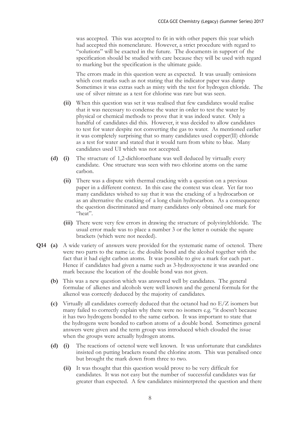was accepted. This was accepted to fit in with other papers this year which had accepted this nomenclature. However, a strict procedure with regard to "solutions" will be exacted in the future. The documents in support of the specification should be studied with care because they will be used with regard to marking but the specification is the ultimate guide.

 The errors made in this question were as expected. It was usually omissions which cost marks such as not stating that the indicator paper was damp Sometimes it was extras such as misty with the test for hydrogen chloride. The use of silver nitrate as a test for chlorine was rare but was seen.

- **(ii)** When this question was set it was realised that few candidates would realise that it was necessary to condense the water in order to test the water by physical or chemical methods to prove that it was indeed water. Only a handful of candidates did this. However, it was decided to allow candidates to test for water despite not converting the gas to water. As mentioned earlier it was completely surprising that so many candidates used copper(II) chloride as a test for water and stated that it would turn from white to blue. Many candidates used UI which was not accepted.
- **(d) (i)** The structure of 1,2-dichloroethane was well deduced by virtually every candidate. One structure was seen with two chlorine atoms on the same carbon.
	- **(ii)** There was a dispute with thermal cracking with a question on a previous paper in a different context. In this case the context was clear. Yet far too many candidates wished to say that it was the cracking of a hydrocarbon or as an alternative the cracking of a long chain hydrocarbon. As a consequence the question discriminated and many candidates only obtained one mark for "heat".
	- **(iii)** There were very few errors in drawing the structure of polyvinylchloride. The usual error made was to place a number 3 or the letter n outside the square brackets (which were not needed).
- **Q14 (a)** A wide variety of answers were provided for the systematic name of octenol. There were two parts to the name i.e. the double bond and the alcohol together with the fact that it had eight carbon atoms. It was possible to give a mark for each part . Hence if candidates had given a name such as 3-hydroxyoctene it was awarded one mark because the location of the double bond was not given.
	- **(b)** This was a new question which was answered well by candidates. The general formulae of alkenes and alcohols were well known and the general formula for the alkenol was correctly deduced by the majority of candidates.
	- **(c)** Virtually all candidates correctly deduced that the octanol had no E/Z isomers but many failed to correctly explain why there were no isomers e.g. "it doesn't because it has two hydrogens bonded to the same carbon. It was important to state that the hydrogens were bonded to carbon atoms of a double bond. Sometimes general answers were given and the term group was introduced which clouded the issue when the groups were actually hydrogen atoms.
	- **(d) (i)** The reactions of octenol were well known. It was unfortunate that candidates insisted on putting brackets round the chlorine atom. This was penalised once but brought the mark down from three to two.
		- **(ii)** It was thought that this question would prove to be very difficult for candidates. It was not easy but the number of successful candidates was far greater than expected. A few candidates misinterpreted the question and there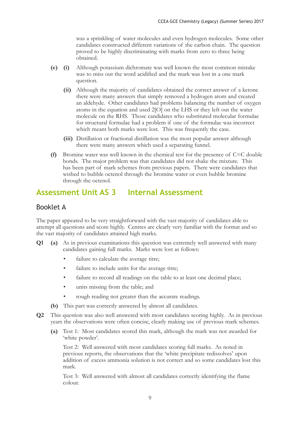was a sprinkling of water molecules and even hydrogen molecules. Some other candidates constructed different variations of the carbon chain. The question proved to be highly discriminating with marks from zero to three being obtained.

- **(e) (i)** Although potassium dichromate was well known the most common mistake was to miss out the word acidified and the mark was lost in a one mark question.
	- **(ii)** Although the majority of candidates obtained the correct answer of a ketone there were many answers that simply removed a hydrogen atom and created an aldehyde. Other candidates had problems balancing the number of oxygen atoms in the equation and used 2[O] on the LHS or they left out the water molecule on the RHS. Those candidates who substituted molecular formulae for structural formulae had a problem if one of the formulae was incorrect which meant both marks were lost. This was frequently the case.
	- **(iii)** Distillation or fractional distillation was the most popular answer although there were many answers which used a separating funnel.
- **(f)** Bromine water was well known in the chemical test for the presence of C=C double bonds. The major problem was that candidates did not shake the mixture. This has been part of mark schemes from previous papers. There were candidates that wished to bubble octenol through the bromine water or even bubble bromine through the octenol.

### **Assessment Unit AS 3 Internal Assessment**

#### Booklet A

The paper appeared to be very straightforward with the vast majority of candidates able to attempt all questions and score highly. Centres are clearly very familiar with the format and so the vast majority of candidates attained high marks.

- **Q1 (a)** As in previous examinations this question was extremely well answered with many candidates gaining full marks. Marks were lost as follows:
	- failure to calculate the average titre;
	- failure to include units for the average titre;
	- failure to record all readings on the table to at least one decimal place;
	- units missing from the table; and
	- rough reading not greater than the accurate readings.
	- **(b)** This part was correctly answered by almost all candidates.
- **Q2** This question was also well answered with most candidates scoring highly. As in previous years the observations were often concise, clearly making use of previous mark schemes.
	- **(a)** Test 1: Most candidates scored this mark, although the mark was not awarded for 'white powder'.

Test 2: Well answered with most candidates scoring full marks. As noted in previous reports, the observations that the 'white precipitate redissolves' upon addition of excess ammonia solution is not correct and so some candidates lost this mark.

Test 3: Well answered with almost all candidates correctly identifying the flame colour.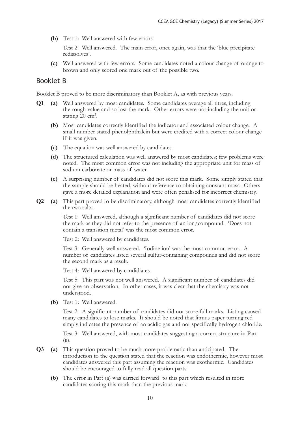**(b)** Test 1: Well answered with few errors.

Test 2: Well answered. The main error, once again, was that the 'blue precipitate redissolves'.

**(c)** Well answered with few errors. Some candidates noted a colour change of orange to brown and only scored one mark out of the possible two.

#### Booklet B

Booklet B proved to be more discriminatory than Booklet A, as with previous years.

- **Q1 (a)** Well answered by most candidates. Some candidates average all titres, including the rough value and so lost the mark. Other errors were not including the unit or stating 20 cm<sup>3</sup>.
	- **(b)** Most candidates correctly identified the indicator and associated colour change. A small number stated phenolphthalein but were credited with a correct colour change if it was given.
	- **(c)** The equation was well answered by candidates.
	- **(d)** The structured calculation was well answered by most candidates; few problems were noted. The most common error was not including the appropriate unit for mass of sodium carbonate or mass of water.
	- **(e)** A surprising number of candidates did not score this mark. Some simply stated that the sample should be heated, without reference to obtaining constant mass. Others gave a more detailed explanation and were often penalised for incorrect chemistry.
- **Q2 (a)** This part proved to be discriminatory, although most candidates correctly identified the two salts.

Test 1: Well answered, although a significant number of candidates did not score the mark as they did not refer to the presence of an ion/compound. 'Does not contain a transition metal' was the most common error.

Test 2: Well answered by candidates.

Test 3: Generally well answered. 'Iodine ion' was the most common error. A number of candidates listed several sulfur-containing compounds and did not score the second mark as a result.

Test 4: Well answered by candidiates.

Test 5: This part was not well answered. A significant number of candidates did not give an observation. In other cases, it was clear that the chemistry was not understood.

**(b)** Test 1: Well answered.

Test 2: A significant number of candidates did not score full marks. Listing caused many candidates to lose marks. It should be noted that litmus paper turning red simply indicates the presence of an acidic gas and not specifically hydrogen chloride.

Test 3: Well answered, with most candidates suggesting a correct structure in Part  $(ii).$ 

- **Q3 (a)** This question proved to be much more problematic than anticipated. The introduction to the question stated that the reaction was endothermic, however most candidates answered this part assuming the reaction was exothermic. Candidates should be encouraged to fully read all question parts.
	- **(b)** The error in Part (a) was carried forward to this part which resulted in more candidates scoring this mark than the previous mark.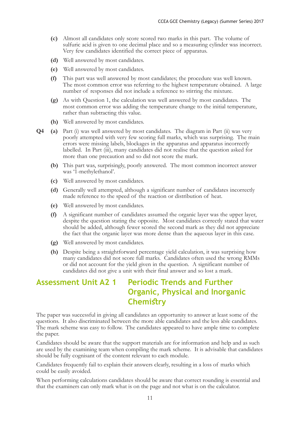- **(c)** Almost all candidates only score scored two marks in this part. The volume of sulfuric acid is given to one decimal place and so a measuring cylinder was incorrect. Very few candidates identified the correct piece of apparatus.
- **(d)** Well answered by most candidates.
- **(e)** Well answered by most candidates.
- **(f)** This part was well answered by most candidates; the procedure was well known. The most common error was referring to the highest temperature obtained. A large number of responses did not include a reference to stirring the mixture.
- **(g)** As with Question 1, the calculation was well answered by most candidates. The most common error was adding the temperature change to the initial temperature, rather than subtracting this value.
- **(h)** Well answered by most candidates.
- **Q4 (a)** Part (i) was well answered by most candidates. The diagram in Part (ii) was very poorly attempted with very few scoring full marks, which was surprising. The main errors were missing labels, blockages in the apparatus and apparatus incorrectly labelled. In Part (iii), many candidates did not realise that the question asked for more than one precaution and so did not score the mark.
	- **(b)** This part was, surprisingly, poorly answered. The most common incorrect answer was '1-methylethanol'.
	- **(c)** Well answered by most candidates.
	- **(d)** Generally well attempted, although a significant number of candidates incorrectly made reference to the speed of the reaction or distribution of heat.
	- **(e)** Well answered by most candidates.
	- **(f)** A significant number of candidates assumed the organic layer was the upper layer, despite the question stating the opposite. Most candidates correctly stated that water should be added, although fewer scored the second mark as they did not appreciate the fact that the organic layer was more dense than the aqueous layer in this case.
	- **(g)** Well answered by most candidates.
	- **(h)** Despite being a straightforward percentage yield calculation, it was surprising how many candidates did not score full marks. Candidates often used the wrong RMMs or did not account for the yield given in the question. A significant number of candidates did not give a unit with their final answer and so lost a mark.

### **Assessment Unit A2 1 Periodic Trends and Further Organic, Physical and Inorganic Chemistry**

The paper was successful in giving all candidates an opportunity to answer at least some of the questions. It also discriminated between the more able candidates and the less able candidates. The mark scheme was easy to follow. The candidates appeared to have ample time to complete the paper.

Candidates should be aware that the support materials are for information and help and as such are used by the examining team when compiling the mark scheme. It is advisable that candidates should be fully cognisant of the content relevant to each module.

Candidates frequently fail to explain their answers clearly, resulting in a loss of marks which could be easily avoided.

When performing calculations candidates should be aware that correct rounding is essential and that the examiners can only mark what is on the page and not what is on the calculator.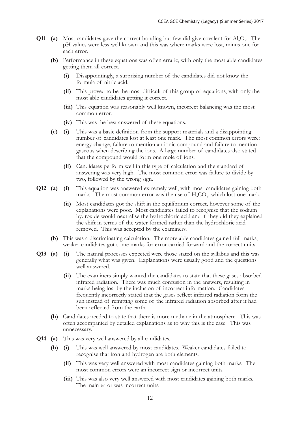- **Q11** (a) Most candidates gave the correct bonding but few did give covalent for  $AI_2O_3$ . The pH values were less well known and this was where marks were lost, minus one for each error.
	- **(b)** Performance in these equations was often erratic, with only the most able candidates getting them all correct.
		- **(i)** Disappointingly, a surprising number of the candidates did not know the formula of nitric acid.
		- **(ii)** This proved to be the most difficult of this group of equations, with only the most able candidates getting it correct.
		- **(iii)** This equation was reasonably well known, incorrect balancing was the most common error.
		- **(iv)** This was the best answered of these equations.
	- **(c) (i)** This was a basic definition from the support materials and a disappointing number of candidates lost at least one mark. The most common errors were: energy change, failure to mention an ionic compound and failure to mention gaseous when describing the ions. A large number of candidates also stated that the compound would form one mole of ions.
		- **(ii)** Candidates perform well in this type of calculation and the standard of answering was very high. The most common error was failure to divide by two, followed by the wrong sign.
- **Q12 (a) (i)** This equation was answered extremely well, with most candidates gaining both marks. The most common error was the use of  $H_2CO_3$ , which lost one mark.
	- **(ii)** Most candidates got the shift in the equilibrium correct, however some of the explanations were poor. Most candidates failed to recognise that the sodium hydroxide would neutralise the hydrochloric acid and if they did they explained the shift in terms of the water formed rather than the hydrochloric acid removed. This was accepted by the examiners.
	- **(b)** This was a discriminating calculation. The more able candidates gained full marks, weaker candidates got some marks for error carried forward and the correct units.
- **Q13 (a) (i)** The natural processes expected were those stated on the syllabus and this was generally what was given. Explanations were usually good and the questions well answered.
	- **(ii)** The examiners simply wanted the candidates to state that these gases absorbed infrared radiation. There was much confusion in the answers, resulting in marks being lost by the inclusion of incorrect information. Candidates frequently incorrectly stated that the gases reflect infrared radiation form the sun instead of remitting some of the infrared radiation absorbed after it had been reflected from the earth.
	- **(b)** Candidates needed to state that there is more methane in the atmosphere. This was often accompanied by detailed explanations as to why this is the case. This was unnecessary.
- **Q14 (a)** This was very well answered by all candidates.
	- **(b) (i)** This was well answered by most candidates. Weaker candidates failed to recognise that iron and hydrogen are both elements.
		- **(ii)** This was very well answered with most candidates gaining both marks. The most common errors were an incorrect sign or incorrect units.
		- **(iii)** This was also very well answered with most candidates gaining both marks. The main error was incorrect units.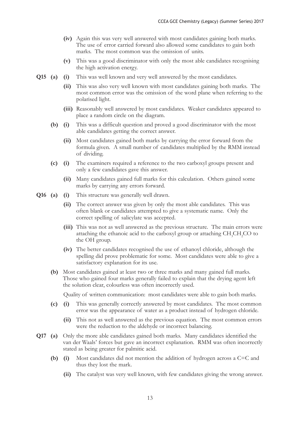- **(iv)** Again this was very well answered with most candidates gaining both marks. The use of error carried forward also allowed some candidates to gain both marks. The most common was the omission of units.
- **(v)** This was a good discriminator with only the most able candidates recognising the high activation energy.
- **Q15 (a) (i)** This was well known and very well answered by the most candidates.
	- **(ii)** This was also very well known with most candidates gaining both marks. The most common error was the omission of the word plane when referring to the polarised light.
	- **(iii)** Reasonably well answered by most candidates. Weaker candidates appeared to place a random circle on the diagram.
	- **(b) (i)** This was a difficult question and proved a good discriminator with the most able candidates getting the correct answer.
		- **(ii)** Most candidates gained both marks by carrying the error forward from the formula given. A small number of candidates multiplied by the RMM instead of dividing.
	- **(c) (i)** The examiners required a reference to the two carboxyl groups present and only a few candidates gave this answer.
		- **(ii)** Many candidates gained full marks for this calculation. Others gained some marks by carrying any errors forward.
- **Q16 (a) (i)** This structure was generally well drawn.
	- **(ii)** The correct answer was given by only the most able candidates. This was often blank or candidates attempted to give a systematic name. Only the correct spelling of salicylate was accepted.
	- **(iii)** This was not as well answered as the previous structure. The main errors were attaching the ethanoic acid to the carboxyl group or attaching  $CH_3CH_2CO$  to the OH group.
	- **(iv)** The better candidates recognised the use of ethanoyl chloride, although the spelling did prove problematic for some. Most candidates were able to give a satisfactory explanation for its use.
	- **(b)** Most candidates gained at least two or three marks and many gained full marks. Those who gained four marks generally failed to explain that the drying agent left the solution clear, colourless was often incorrectly used.

Quality of written communication: most candidates were able to gain both marks.

- **(c) (i)** This was generally correctly answered by most candidates. The most common error was the appearance of water as a product instead of hydrogen chloride.
	- **(ii)** This not as well answered as the previous equation. The most common errors were the reduction to the aldehyde or incorrect balancing.
- **Q17 (a)** Only the more able candidates gained both marks. Many candidates identified the van der Waals' forces but gave an incorrect explanation. RMM was often incorrectly stated as being greater for palmitic acid.
	- **(b) (i)** Most candidates did not mention the addition of hydrogen across a C=C and thus they lost the mark.
		- **(ii)** The catalyst was very well known, with few candidates giving the wrong answer.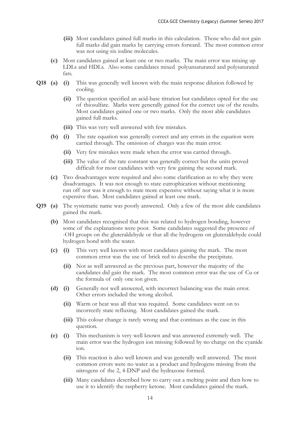- **(iii)** Most candidates gained full marks in this calculation. Those who did not gain full marks did gain marks by carrying errors forward. The most common error was not using six iodine molecules.
- **(c)** Most candidates gained at least one or two marks. The main error was mixing up LDLs and HDLs. Also some candidates mixed polyunsaturated and polysaturated fats.
- **Q18 (a) (i)** This was generally well known with the main response dilution followed by cooling.
	- **(ii)** The question specified an acid-base titration but candidates opted for the use of thiosulfate. Marks were generally gained for the correct use of the results. Most candidates gained one or two marks. Only the most able candidates gained full marks.
	- **(iii)** This was very well answered with few mistakes.
	- **(b) (i)** The rate equation was generally correct and any errors in the equation were carried through. The omission of charges was the main error.
		- **(ii)** Very few mistakes were made when the error was carried through.
		- **(iii)** The value of the rate constant was generally correct but the units proved difficult for most candidates with very few gaining the second mark.
	- **(c)** Two disadvantages were required and also some clarification as to why they were disadvantages. It was not enough to state eutrophication without mentioning run off nor was it enough to state more expensive without saying what it is more expensive than. Most candidates gained at least one mark.
- **Q19 (a)** The systematic name was poorly answered. Only a few of the most able candidates gained the mark.
	- **(b)** Most candidates recognised that this was related to hydrogen bonding, however some of the explanations were poor. Some candidates suggested the presence of -OH groups on the gluteraldehyde or that all the hydrogens on gluteraldehyde could hydrogen bond with the water.
	- **(c) (i)** This very well known with most candidates gaining the mark. The most common error was the use of brick red to describe the precipitate.
		- **(ii)** Not as well answered as the previous part, however the majority of the candidates did gain the mark. The most common error was the use of Cu or the formula of only one ion given.
	- **(d) (i)** Generally not well answered, with incorrect balancing was the main error. Other errors included the wrong alcohol.
		- **(ii)** Warm or heat was all that was required. Some candidates went on to incorrectly state refluxing. Most candidates gained the mark.
		- **(iii)** This colour change is rarely wrong and that continues as the case in this question.
	- **(e) (i)** This mechanism is very well known and was answered extremely well. The main error was the hydrogen ion missing followed by no charge on the cyanide ion.
		- **(ii)** This reaction is also well known and was generally well answered. The most common errors were no water as a product and hydrogens missing from the nitrogens of the 2, 4-DNP and the hydrazone formed.
		- **(iii)** Many candidates described how to carry out a melting point and then how to use it to identify the raspberry ketone. Most candidates gained the mark.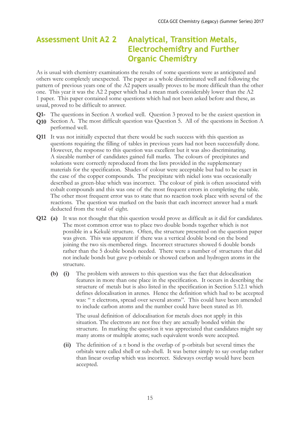### **Assessment Unit A2 2 Analytical, Transition Metals, Electrochemistry and Further Organic Chemistry**

As is usual with chemistry examinations the results of some questions were as anticipated and others were completely unexpected. The paper as a whole discriminated well and following the pattern of previous years one of the A2 papers usually proves to be more difficult than the other one. This year it was the A2 2 paper which had a mean mark considerably lower than the A2 1 paper. This paper contained some questions which had not been asked before and these, as usual, proved to be difficult to answer.

- **Q1-** The questions in Section A worked well. Question 3 proved to be the easiest question in
- **Q10** Section A. The most difficult question was Question 5. All of the questions in Section A performed well.
- **Q11** It was not initially expected that there would be such success with this question as questions requiring the filling of tables in previous years had not been successfully done. However, the response to this question was excellent but it was also discriminating. A sizeable number of candidates gained full marks. The colours of precipitates and solutions were correctly reproduced from the lists provided in the supplementary materials for the specification. Shades of colour were acceptable but had to be exact in the case of the copper compounds. The precipitate with nickel ions was occasionally described as green-blue which was incorrect. The colour of pink is often associated with cobalt compounds and this was one of the most frequent errors in completing the table. The other most frequent error was to state that no reaction took place with several of the reactions. The question was marked on the basis that each incorrect answer had a mark deducted from the total of eight.
- **Q12 (a)** It was not thought that this question would prove as difficult as it did for candidates. The most common error was to place two double bonds together which is not possible in a Kekulé structure. Often, the structure presented on the question paper was given. This was apparent if there was a vertical double bond on the bond joining the two six-membered rings. Incorrect structures showed 6 double bonds rather than the 5 double bonds needed. There were a number of structures that did not include bonds but gave p-orbitals or showed carbon and hydrogen atoms in the structure.
	- **(b) (i)** The problem with answers to this question was the fact that delocalisation features in more than one place in the specification. It occurs in describing the structure of metals but is also listed in the specification in Section 5.12.1 which defines delocalisation in arenes. Hence the definition which had to be accepted was: " π electrons, spread over several atoms". This could have been amended to include carbon atoms and the number could have been stated as 10.

 The usual definition of delocalisation for metals does not apply in this situation. The electrons are not free they are actually bonded within the structure. In marking the question it was appreciated that candidates might say many atoms or multiple atoms; such equivalent words were accepted.

(ii) The definition of a  $\pi$  bond is the overlap of p-orbitals but several times the orbitals were called shell or sub-shell. It was better simply to say overlap rather than linear overlap which was incorrect. Sideways overlap would have been accepted.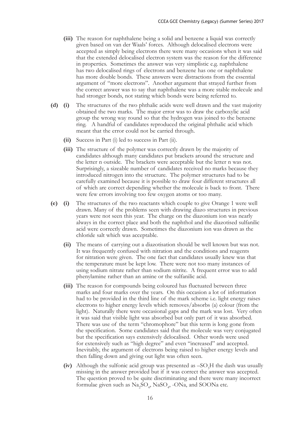- **(iii)** The reason for naphthalene being a solid and benzene a liquid was correctly given based on van der Waals' forces. Although delocalised electrons were accepted as simply being electrons there were many occasions when it was said that the extended delocalised electron system was the reason for the difference in properties. Sometimes the answer was very simplistic e.g. naphthalene has two delocalised rings of electrons and benzene has one or naphthalene has more double bonds. These answers were distractions from the essential argument of "more electrons". Another argument that strayed further from the correct answer was to say that naphthalene was a more stable molecule and had stronger bonds, not stating which bonds were being referred to.
- **(d) (i)** The structures of the two phthalic acids were well drawn and the vast majority obtained the two marks. The major error was to draw the carboxylic acid group the wrong way round so that the hydrogen was joined to the benzene ring. A handful of candidates reproduced the original phthalic acid which meant that the error could not be carried through.
	- **(ii)** Success in Part (i) led to success in Part (ii).
	- **(iii)** The structure of the polymer was correctly drawn by the majority of candidates although many candidates put brackets around the structure and the letter n outside. The brackets were acceptable but the letter n was not. Surprisingly, a sizeable number of candidates received no marks because they introduced nitrogen into the structure. The polymer structures had to be carefully examined because it is possible to draw four different structures all of which are correct depending whether the molecule is back to front. There were few errors involving too few oxygen atoms or too many.
- **(e) (i)** The structures of the two reactants which couple to give Orange 1 were well drawn. Many of the problems seen with drawing diazo structures in previous years were not seen this year. The charge on the diazonium ion was nearly always in the correct place and both the naphthol and the diazotised sulfanilic acid were correctly drawn. Sometimes the diazonium ion was drawn as the chloride salt which was acceptable.
	- **(ii)** The means of carrying out a diazotisation should be well known but was not. It was frequently confused with nitration and the conditions and reagents for nitration were given. The one fact that candidates usually knew was that the temperature must be kept low. There were not too many instances of using sodium nitrate rather than sodium nitrite. A frequent error was to add phenylamine rather than an amine or the sulfanilic acid.
	- **(iii)** The reason for compounds being coloured has fluctuated between three marks and four marks over the years. On this occasion a lot of information had to be provided in the third line of the mark scheme i.e. light energy raises electrons to higher energy levels which removes/absorbs (a) colour (from the light). Naturally there were occasional gaps and the mark was lost. Very often it was said that visible light was absorbed but only part of it was absorbed. There was use of the term "chromophore" but this term is long gone from the specification. Some candidates said that the molecule was very conjugated but the specification says extensively delocalised. Other words were used for extensively such as "high degree" and even "increased" and accepted. Inevitably, the argument of electrons being raised to higher energy levels and then falling down and giving out light was often seen.
- (iv) Although the sulfonic acid group was presented as  $-SO_3H$  the dash was usually missing in the answer provided but if it was correct the answer was accepted. The question proved to be quite discriminating and there were many incorrect formulae given such as  $\text{Na}_2\text{SO}_4$ ,  $\text{NaSO}_4$ , -ONa, and SOONa etc.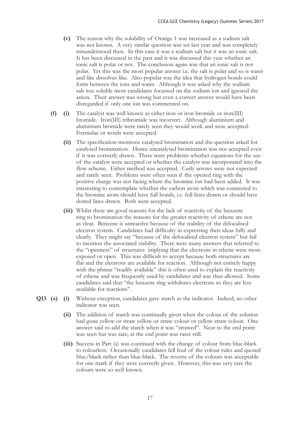- **(v)** The reason why the solubility of Orange 1 was increased as a sodium salt was not known. A very similar question was set last year and was completely misunderstood then. In this case it was a sodium salt but it was an ionic salt. It has been discussed in the past and it was discussed this year whether an ionic salt is polar or not. The conclusion again was that an ionic salt is not polar. Yet this was the most popular answer i.e. the salt is polar and so is water and like dissolves like. Also popular was the idea that hydrogen bonds could form between the ions and water. Although it was asked why the sodium salt was soluble most candidates focussed on the sodium ion and ignored the anion. Their answer was wrong but even a correct answer would have been disregarded if only one ion was commented on.
- **(f) (i)** The catalyst was well known as either iron or iron bromide or iron(III) bromide. Iron(III) tribromide was incorrect. Although aluminium and aluminium bromide were rarely seen they would work and were accepted. Formulae or words were accepted.
	- **(ii)** The specification mentions catalysed bromination and the question asked for catalysed bromination. Hence uncatalysed bromination was not accepted even if it was correctly drawn. There were problems whether equations for the use of the catalyst were accepted or whether the catalyst was incorporated into the flow scheme. Either method was accepted. Curly arrows were not expected and rarely seen. Problems were often seen if the opened ring with the positive charge was not facing where the bromine ion had been added. It was interesting to contemplate whether the carbon atom which was connected to the bromine atom should have full bonds, i.e. full lines drawn or should have dotted lines drawn. Both were accepted.
	- **(iii)** Whilst there are good reasons for the lack of reactivity of the benzene ring to bromination the reasons for the greater reactivity of ethene are not as clear. Benzene is unreactive because of the stability of the delocalised electron system. Candidates had difficulty in expressing their ideas fully and clearly. They might say "because of the delocalised electron system" but fail to mention the associated stability. There were many answers that referred to the "openness" of structures implying that the electrons in ethene were more exposed or open. This was difficult to accept because both structures are flat and the electrons are available for reaction. Although not entirely happy with the phrase "readily available" this is often used to explain the reactivity of ethene and was frequently used by candidates and was thus allowed. Some candidates said that "the benzene ring withdraws electrons so they are less available for reactions".
- **Q13 (a) (i)** Without exception, candidates gave starch as the indicator. Indeed, no other indicator was seen.
	- **(ii)** The addition of starch was continually given when the colour of the solution had gone yellow or straw yellow or straw colour or yellow straw colour. One answer said to add the starch when it was "strawed". Near to the end point was seen but was rare; at the end point was rarer still.
	- **(iii)** Success in Part (a) was continued with the change of colour from blue-black to colourless. Occasionally candidates fell foul of the colour rules and quoted blue/black rather than blue-black. The reverse of the colours was acceptable for one mark if they were correctly given. However, this was very rare the colours were so well known.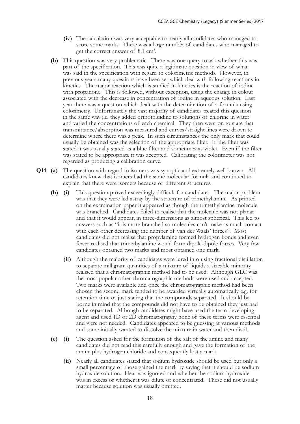- **(iv)** The calculation was very acceptable to nearly all candidates who managed to score some marks. There was a large number of candidates who managed to get the correct answer of 8.1 cm<sup>3</sup>.
- **(b)** This question was very problematic. There was one query to ask whether this was part of the specification. This was quite a legitimate question in view of what was said in the specification with regard to colorimetric methods. However, in previous years many questions have been set which deal with following reactions in kinetics. The major reaction which is studied in kinetics is the reaction of iodine with propanone. This is followed, without exception, using the change in colour associated with the decrease in concentration of iodine in aqueous solution. Last year there was a question which dealt with the determination of a formula using colorimetry. Unfortunately the vast majority of candidates treated this question in the same way i.e. they added orthotoluidine to solutions of chlorine in water and varied the concentrations of each chemical. They then went on to state that transmittance/absorption was measured and curves/straight lines were drawn to determine where there was a peak. In such circumstances the only mark that could usually be obtained was the selection of the appropriate filter. If the filter was stated it was usually stated as a blue filter and sometimes as violet. Even if the filter was stated to be appropriate it was accepted. Calibrating the colorimeter was not regarded as producing a calibration curve.
- **Q14 (a)** The question with regard to isomers was synoptic and extremely well known. All candidates knew that isomers had the same molecular formula and continued to explain that there were isomers because of different structures.
	- **(b) (i)** This question proved exceedingly difficult for candidates. The major problem was that they were led astray by the structure of trimethylamine. As printed on the examination paper it appeared as though the trimethylamine molecule was branched. Candidates failed to realise that the molecule was not planar and that it would appear, in three-dimensions as almost spherical. This led to answers such as "it is more branched so molecules can't make as much contact with each other decreasing the number of van der Waals' forces". Most candidates did not realise that propylamine formed hydrogen bonds and even fewer realised that trimethylamine would form dipole-dipole forces. Very few candidates obtained two marks and most obtained one mark.
		- **(ii)** Although the majority of candidates were lured into using fractional distillation to separate milligram quantities of a mixture of liquids a sizeable minority realised that a chromatographic method had to be used. Although GLC was the most popular other chromatographic methods were used and accepted. Two marks were available and once the chromatographic method had been chosen the second mark tended to be awarded virtually automatically e.g. for retention time or just stating that the compounds separated. It should be borne in mind that the compounds did not have to be obtained they just had to be separated. Although candidates might have used the term developing agent and used 1D or 2D chromatography none of these terms were essential and were not needed. Candidates appeared to be guessing at various methods and some initially wanted to dissolve the mixture in water and then distil.
	- **(c) (i)** The question asked for the formation of the salt of the amine and many candidates did not read this carefully enough and gave the formation of the amine plus hydrogen chloride and consequently lost a mark.
		- **(ii)** Nearly all candidates stated that sodium hydroxide should be used but only a small percentage of those gained the mark by saying that it should be sodium hydroxide solution. Heat was ignored and whether the sodium hydroxide was in excess or whether it was dilute or concentrated. These did not usually matter because solution was usually omitted.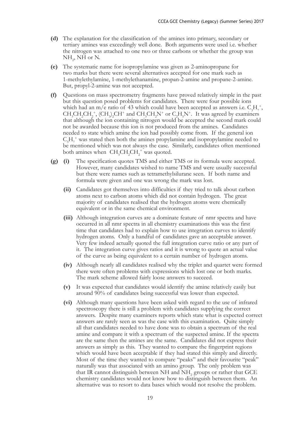- **(d)** The explanation for the classification of the amines into primary, secondary or tertiary amines was exceedingly well done. Both arguments were used i.e. whether the nitrogen was attached to one two or three carbons or whether the group was  $NH<sub>2</sub>$ , NH or N.
- **(e)** The systematic name for isopropylamine was given as 2-aminopropane for two marks but there were several alternatives accepted for one mark such as 1-methylethylamine, 1-methylethanamine, propan-2-amine and propane-2-amine. But, propyl-2-amine was not accepted.
- **(f)** Questions on mass spectrometry fragments have proved relatively simple in the past but this question posed problems for candidates. There were four possible ions which had an m/e ratio of 43 which could have been accepted as answers i.e.  $C_3H_7^+$ ,  $CH_3CH_2CH_2^+$ ,  $(CH_3)_2CH^+$  and  $CH_3CH_2N^+$  or  $C_2H_5N^+$ . It was agreed by examiners that although the ion containing nitrogen would be accepted the second mark could not be awarded because this ion is not produced from the amines. Candidates needed to state which amine the ion had possibly come from. If the general ion  $C_3H_7^+$  was stated then both the amines propylamine and isopropylamine needed to be mentioned which was not always the case. Similarly, candidates often mentioned both amines when  $CH_3CH_2CH_2^+$  was quoted.
- **(g) (i)** The specification quotes TMS and either TMS or its formula were accepted. However, many candidates wished to name TMS and were usually successful but there were names such as tetramethylsilurane seen. If both name and formula were given and one was wrong the mark was lost.
	- **(ii)** Candidates got themselves into difficulties if they tried to talk about carbon atoms next to carbon atoms which did not contain hydrogen. The great majority of candidates realised that the hydrogen atoms were chemically equivalent or in the same chemical environment.
	- **(iii)** Although integration curves are a dominate feature of nmr spectra and have occurred in all nmr spectra in all chemistry examinations this was the first time that candidates had to explain how to use integration curves to identify hydrogen atoms. Only a handful of candidates gave an acceptable answer. Very few indeed actually quoted the full integration curve ratio or any part of it. The integration curve gives ratios and it is wrong to quote an actual value of the curve as being equivalent to a certain number of hydrogen atoms.
	- **(iv)** Although nearly all candidates realised why the triplet and quartet were formed there were often problems with expressions which lost one or both marks. The mark scheme allowed fairly loose answers to succeed.
	- **(v)** It was expected that candidates would identify the amine relatively easily but around 90% of candidates being successful was lower than expected.
	- **(vi)** Although many questions have been asked with regard to the use of infrared spectroscopy there is still a problem with candidates supplying the correct answers. Despite many examiners reports which state what is expected correct answers are rarely seen as was the case with this examination. Quite simply all that candidates needed to have done was to obtain a spectrum of the real amine and compare it with a spectrum of the suspected amine. If the spectra are the same then the amines are the same. Candidates did not express their answers as simply as this. They wanted to compare the fingerprint regions which would have been acceptable if they had stated this simply and directly. Most of the time they wanted to compare "peaks" and their favourite "peak" naturally was that associated with an amino group. The only problem was that IR cannot distinguish between NH and NH<sub>2</sub> groups or rather that GCE chemistry candidates would not know how to distinguish between them. An alternative was to resort to data bases which would not resolve the problem.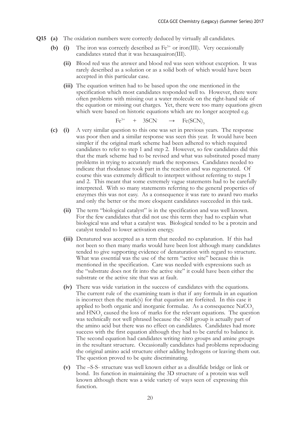- **Q15 (a)** The oxidation numbers were correctly deduced by virtually all candidates.
	- **(b) (i)** The iron was correctly described as Fe<sup>3+</sup> or iron(III). Very occasionally candidates stated that it was hexaaquairon(III).
		- **(ii)** Blood red was the answer and blood red was seen without exception. It was rarely described as a solution or as a solid both of which would have been accepted in this particular case.
		- **(iii)** The equation written had to be based upon the one mentioned in the specification which most candidates responded well to. However, there were often problems with missing out a water molecule on the right-hand side of the equation or missing out charges. Yet, there were too many equations given which were based on historic equations which are no longer accepted e.g.

$$
\text{Fe}^{3+} \quad + \quad 3\text{SCN} \quad \longrightarrow \quad \text{Fe(SCN)}_{3}
$$

- **(c) (i)** A very similar question to this one was set in previous years. The response was poor then and a similar response was seen this year. It would have been simpler if the original mark scheme had been adhered to which required candidates to refer to step 1 and step 2. However, so few candidates did this that the mark scheme had to be revised and what was substituted posed many problems in trying to accurately mark the responses. Candidates needed to indicate that rhodanase took part in the reaction and was regenerated. Of course this was extremely difficult to interpret without referring to steps 1 and 2. This meant that some extremely vague statements had to be carefully interpreted. With so many statements referring to the general properties of enzymes this was not easy. As a consequence it was rare to award two marks and only the better or the more eloquent candidates succeeded in this task.
	- **(ii)** The term "biological catalyst" is in the specification and was well known. For the few candidates that did not use this term they had to explain what biological was and what a catalyst was. Biological tended to be a protein and catalyst tended to lower activation energy.
	- **(iii)** Denatured was accepted as a term that needed no explanation. If this had not been so then many marks would have been lost although many candidates tended to give supporting evidence of denaturation with regard to structure. What was essential was the use of the term "active site" because this is mentioned in the specification. Care was needed with expressions such as the "substrate does not fit into the active site" it could have been either the substrate or the active site that was at fault.
	- **(iv)** There was wide variation in the success of candidates with the equations. The current rule of the examining team is that if any formula in an equation is incorrect then the mark(s) for that equation are forfeited. In this case it applied to both organic and inorganic formulae. As a consequence  $NaCO<sub>2</sub>$ and  $HNO<sub>3</sub>$  caused the loss of marks for the relevant equations. The question was technically not well phrased because the –SH group is actually part of the amino acid but there was no effect on candidates. Candidates had more success with the first equation although they had to be careful to balance it. The second equation had candidates writing nitro groups and amine groups in the resultant structure. Occasionally candidates had problems reproducing the original amino acid structure either adding hydrogens or leaving them out. The question proved to be quite discriminating.
	- **(v)** The –S-S- structure was well known either as a disulfide bridge or link or bond. Its function in maintaining the 3D structure of a protein was well known although there was a wide variety of ways seen of expressing this function.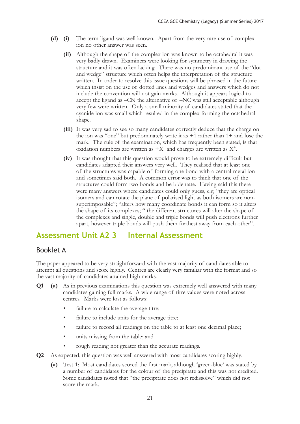- **(d) (i)** The term ligand was well known. Apart from the very rare use of complex ion no other answer was seen.
	- **(ii)** Although the shape of the complex ion was known to be octahedral it was very badly drawn. Examiners were looking for symmetry in drawing the structure and it was often lacking. There was no predominant use of the "dot and wedge" structure which often helps the interpretation of the structure written. In order to resolve this issue questions will be phrased in the future which insist on the use of dotted lines and wedges and answers which do not include the convention will not gain marks. Although it appears logical to accept the ligand as –CN the alternative of –NC was still acceptable although very few were written. Only a small minority of candidates stated that the cyanide ion was small which resulted in the complex forming the octahedral shape.
	- **(iii)** It was very sad to see so many candidates correctly deduce that the charge on the ion was "one" but predominately write it as  $+1$  rather than  $1+$  and lose the mark. The rule of the examination, which has frequently been stated, is that oxidation numbers are written as  $+X$  and charges are written as  $X^+$ .
	- **(iv)** It was thought that this question would prove to be extremely difficult but candidates adapted their answers very well. They realised that at least one of the structures was capable of forming one bond with a central metal ion and sometimes said both. A common error was to think that one of the structures could form two bonds and be bidentate. Having said this there were many answers where candidates could only guess, e.g. "they are optical isomers and can rotate the plane of polarised light as both isomers are nonsuperimposable"; "alters how many coordinate bonds it can form so it alters the shape of its complexes; " the different structures will alter the shape of the complexes and single, double and triple bonds will push electrons further apart, however triple bonds will push them furthest away from each other".

### **Assessment Unit A2 3 Internal Assessment**

#### Booklet A

The paper appeared to be very straightforward with the vast majority of candidates able to attempt all questions and score highly. Centres are clearly very familiar with the format and so the vast majority of candidates attained high marks.

- **Q1 (a)** As in previous examinations this question was extremely well answered with many candidates gaining full marks. A wide range of titre values were noted across centres. Marks were lost as follows:
	- failure to calculate the average titre;
	- failure to include units for the average titre;
	- failure to record all readings on the table to at least one decimal place;
	- units missing from the table; and
	- rough reading not greater than the accurate readings.
- **Q2** As expected, this question was well answered with most candidates scoring highly.
	- **(a)** Test 1: Most candidates scored the first mark, although 'green-blue' was stated by a number of candidates for the colour of the precipitate and this was not credited. Some candidates noted that "the precipitate does not redissolve" which did not score the mark.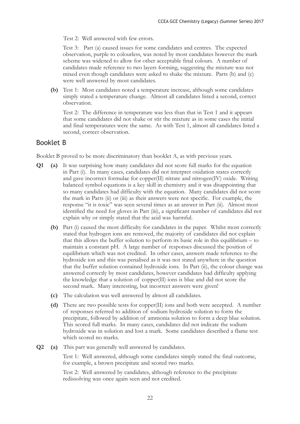Test 2: Well answered with few errors.

Test 3: Part (a) caused issues for some candidates and centres. The expected observation, purple to colourless, was noted by most candidates however the mark scheme was widened to allow for other acceptable final colours. A number of candidates made reference to two layers forming, suggesting the mixture was not mixed even though candidates were asked to shake the mixture. Parts (b) and (c) were well answered by most candidates.

**(b)** Test 1: Most candidates noted a temperature increase, although some candidates simply stated a temperature change. Almost all candidates listed a second, correct observation.

Test 2: The difference in temperature was less than that in Test 1 and it appears that some candidates did not shake or stir the mixture as in some cases the initial and final temperatures were the same. As with Test 1, almost all candidates listed a second, correct observation.

#### Booklet B

Booklet B proved to be more discriminatory than booklet A, as with previous years.

- **Q1 (a)** It was surprising how many candidates did not score full marks for the equation in Part (i). In many cases, candidates did not interpret oxidation states correctly and gave incorrect formulae for copper(II) nitrate and nitrogen(IV) oxide. Writing balanced symbol equations is a key skill in chemistry and it was disappointing that so many candidates had difficulty with the equation. Many candidates did not score the mark in Parts (ii) or (iii) as their answers were not specific. For example, the response "it is toxic" was seen several times as an answer in Part (ii). Almost most identified the need for gloves in Part (iii), a significant number of candidates did not explain why or simply stated that the acid was harmful.
	- **(b)** Part (i) caused the most difficulty for candidates in the paper. Whilst most correctly stated that hydrogen ions are removed, the majority of candidates did not explain that this allows the buffer solution to perform its basic role in this equilibrium – to maintain a constant pH. A large number of responses discussed the position of equilibrium which was not credited. In other cases, answers made reference to the hydroxide ion and this was penalised as it was not stated anywhere in the question that the buffer solution contained hydroxide ions. In Part (ii), the colour change was answered correctly by most candidates, however candidates had difficulty applying the knowledge that a solution of copper(II) ions is blue and did not score the second mark. Many interesting, but incorrect answers were given!
	- **(c)** The calculation was well answered by almost all candidates.
	- **(d)** There are two possible tests for copper(II) ions and both were accepted. A number of responses referred to addition of sodium hydroxide solution to form the precipitate, followed by addition of ammonia solution to form a deep blue solution. This scored full marks. In many cases, candidates did not indicate the sodium hydroxide was in solution and lost a mark. Some candidates described a flame test which scored no marks.
- **Q2 (a)** This part was generally well answered by candidates.

Test 1: Well answered, although some candidates simply stated the final outcome, for example, a brown precipitate and scored two marks.

Test 2: Well answered by candidates, although reference to the precipitate redissolving was once again seen and not credited.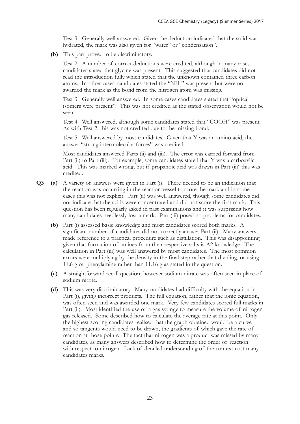Test 3: Generally well answered. Given the deduction indicated that the solid was hydrated, the mark was also given for "water" or "condensation".

**(b)** This part proved to be discriminatory.

Test 2: A number of correct deductions were credited, although in many cases candidates stated that glycine was present. This suggested that candidates did not read the introduction fully which stated that the unknown contained three carbon atoms. In other cases, candidates stated the "NH<sub>2</sub>" was present but were not awarded the mark as the bond from the nitrogen atom was missing.

Test 3: Generally well answered. In some cases candidates stated that "optical isomers were present". This was not credited as the stated observation would not be seen.

Test 4: Well answered, although some candidates stated that "COOH" was present. As with Test 2, this was not credited due to the missing bond.

Test 5: Well answered by most candidates. Given that Y was an amino acid, the answer "strong intermolecular forces" was credited.

 Most candidates answered Parts (ii) and (iii). The error was carried forward from Part (ii) to Part (iii). For example, some candidates stated that Y was a carboxylic acid. This was marked wrong, but if propanoic acid was drawn in Part (iii) this was credited.

- **Q3 (a)** A variety of answers were given in Part (i). There needed to be an indication that the reaction was occurring in the reaction vessel to score the mark and in some cases this was not explicit. Part (ii) was well answered, though some candidates did not indicate that the acids were concentrated and did not score the first mark. This question has been regularly asked in past examinations and it was surprising how many candidates needlessly lost a mark. Part (iii) posed no problems for candidates.
	- **(b)** Part (i) assessed basic knowledge and most candidates scored both marks. A significant number of candidates did not correctly answer Part (ii). Many answers made reference to a practical procedure such as distillation. This was disappointing given that formation of amines from their respective salts is A2 knowledge. The calculation in Part (iii) was well answered by most candidates. The most common errors were multiplying by the density in the final step rather that dividing, or using 11.6 g of phenylamine rather than 11.16 g as stated in the question.
	- **(c)** A straightforward recall question, however sodium nitrate was often seen in place of sodium nitrite.
	- **(d)** This was very discriminatory. Many candidates had difficulty with the equation in Part (i), giving incorrect products. The full equation, rather that the ionic equation, was often seen and was awarded one mark. Very few candidates scored full marks in Part (ii). Most identified the use of a gas syringe to measure the volume of nitrogen gas released. Some described how to calculate the average rate at this point. Only the highest scoring candidates realised that the graph obtained would be a curve and so tangents would need to be drawn, the gradients of which gave the rate of reaction at those points. The fact that nitrogen was a product was missed by many candidates, as many answers described how to determine the order of reaction with respect to nitrogen. Lack of detailed understanding of the context cost many candidates marks.